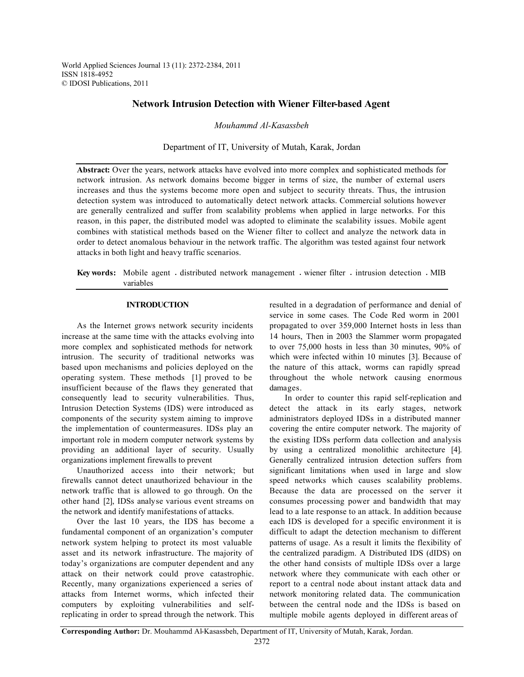World Applied Sciences Journal 13 (11): 2372-2384, 2011 ISSN 1818-4952 © IDOSI Publications, 2011

# **Network Intrusion Detection with Wiener Filter-based Agent**

*Mouhammd Al-Kasassbeh*

Department of IT, University of Mutah, Karak, Jordan

**Abstract:** Over the years, network attacks have evolved into more complex and sophisticated methods for network intrusion. As network domains become bigger in terms of size, the number of external users increases and thus the systems become more open and subject to security threats. Thus, the intrusion detection system was introduced to automatically detect network attacks. Commercial solutions however are generally centralized and suffer from scalability problems when applied in large networks. For this reason, in this paper, the distributed model was adopted to eliminate the scalability issues. Mobile agent combines with statistical methods based on the Wiener filter to collect and analyze the network data in order to detect anomalous behaviour in the network traffic. The algorithm was tested against four network attacks in both light and heavy traffic scenarios.

**Key words:** Mobile agent  $\cdot$  distributed network management  $\cdot$  wiener filter  $\cdot$  intrusion detection  $\cdot$  MIB variables

# **INTRODUCTION**

As the Internet grows network security incidents increase at the same time with the attacks evolving into more complex and sophisticated methods for network intrusion. The security of traditional networks was based upon mechanisms and policies deployed on the operating system. These methods [1] proved to be insufficient because of the flaws they generated that consequently lead to security vulnerabilities. Thus, Intrusion Detection Systems (IDS) were introduced as components of the security system aiming to improve the implementation of countermeasures. IDSs play an important role in modern computer network systems by providing an additional layer of security. Usually organizations implement firewalls to prevent

Unauthorized access into their network; but firewalls cannot detect unauthorized behaviour in the network traffic that is allowed to go through. On the other hand [2], IDSs analyse various event streams on the network and identify manifestations of attacks.

Over the last 10 years, the IDS has become a fundamental component of an organization's computer network system helping to protect its most valuable asset and its network infrastructure. The majority of today's organizations are computer dependent and any attack on their network could prove catastrophic. Recently, many organizations experienced a series of attacks from Internet worms, which infected their computers by exploiting vulnerabilities and selfreplicating in order to spread through the network. This resulted in a degradation of performance and denial of service in some cases. The Code Red worm in 2001 propagated to over 359,000 Internet hosts in less than 14 hours, Then in 2003 the Slammer worm propagated to over 75,000 hosts in less than 30 minutes, 90% of which were infected within 10 minutes [3]. Because of the nature of this attack, worms can rapidly spread throughout the whole network causing enormous damages.

In order to counter this rapid self-replication and detect the attack in its early stages, network administrators deployed IDSs in a distributed manner covering the entire computer network. The majority of the existing IDSs perform data collection and analysis by using a centralized monolithic architecture [4]. Generally centralized intrusion detection suffers from significant limitations when used in large and slow speed networks which causes scalability problems. Because the data are processed on the server it consumes processing power and bandwidth that may lead to a late response to an attack. In addition because each IDS is developed for a specific environment it is difficult to adapt the detection mechanism to different patterns of usage. As a result it limits the flexibility of the centralized paradigm. A Distributed IDS (dIDS) on the other hand consists of multiple IDSs over a large network where they communicate with each other or report to a central node about instant attack data and network monitoring related data. The communication between the central node and the IDSs is based on multiple mobile agents deployed in different areas of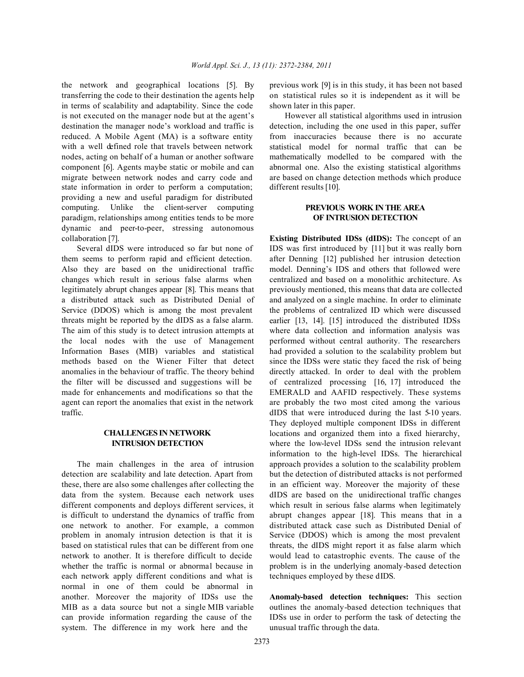the network and geographical locations [5]. By transferring the code to their destination the agents help in terms of scalability and adaptability. Since the code is not executed on the manager node but at the agent's destination the manager node's workload and traffic is reduced. A Mobile Agent (MA) is a software entity with a well defined role that travels between network nodes, acting on behalf of a human or another software component [6]. Agents maybe static or mobile and can migrate between network nodes and carry code and state information in order to perform a computation; providing a new and useful paradigm for distributed computing. Unlike the client-server computing paradigm, relationships among entities tends to be more dynamic and peer-to-peer, stressing autonomous collaboration [7].

Several dIDS were introduced so far but none of them seems to perform rapid and efficient detection. Also they are based on the unidirectional traffic changes which result in serious false alarms when legitimately abrupt changes appear [8]. This means that a distributed attack such as Distributed Denial of Service (DDOS) which is among the most prevalent threats might be reported by the dIDS as a false alarm. The aim of this study is to detect intrusion attempts at the local nodes with the use of Management Information Bases (MIB) variables and statistical methods based on the Wiener Filter that detect anomalies in the behaviour of traffic. The theory behind the filter will be discussed and suggestions will be made for enhancements and modifications so that the agent can report the anomalies that exist in the network traffic.

### **CHALLENGES IN NETWORK INTRUSION DETECTION**

The main challenges in the area of intrusion detection are scalability and late detection. Apart from these, there are also some challenges after collecting the data from the system. Because each network uses different components and deploys different services, it is difficult to understand the dynamics of traffic from one network to another. For example, a common problem in anomaly intrusion detection is that it is based on statistical rules that can be different from one network to another. It is therefore difficult to decide whether the traffic is normal or abnormal because in each network apply different conditions and what is normal in one of them could be abnormal in another. Moreover the majority of IDSs use the MIB as a data source but not a single MIB variable can provide information regarding the cause of the system. The difference in my work here and the

previous work [9] is in this study, it has been not based on statistical rules so it is independent as it will be shown later in this paper.

However all statistical algorithms used in intrusion detection, including the one used in this paper, suffer from inaccuracies because there is no accurate statistical model for normal traffic that can be mathematically modelled to be compared with the abnormal one. Also the existing statistical algorithms are based on change detection methods which produce different results [10].

## **PREVIOUS WORK IN THE AREA OF INTRUSION DETECTION**

**Existing Distributed IDSs (dIDS):** The concept of an IDS was first introduced by [11] but it was really born after Denning [12] published her intrusion detection model. Denning's IDS and others that followed were centralized and based on a monolithic architecture. As previously mentioned, this means that data are collected and analyzed on a single machine. In order to eliminate the problems of centralized ID which were discussed earlier [13, 14]. [15] introduced the distributed IDSs where data collection and information analysis was performed without central authority. The researchers had provided a solution to the scalability problem but since the IDSs were static they faced the risk of being directly attacked. In order to deal with the problem of centralized processing [16, 17] introduced the EMERALD and AAFID respectively. These systems are probably the two most cited among the various dIDS that were introduced during the last 5-10 years. They deployed multiple component IDSs in different locations and organized them into a fixed hierarchy, where the low-level IDSs send the intrusion relevant information to the high-level IDSs. The hierarchical approach provides a solution to the scalability problem but the detection of distributed attacks is not performed in an efficient way. Moreover the majority of these dIDS are based on the unidirectional traffic changes which result in serious false alarms when legitimately abrupt changes appear [18]. This means that in a distributed attack case such as Distributed Denial of Service (DDOS) which is among the most prevalent threats, the dIDS might report it as false alarm which would lead to catastrophic events. The cause of the problem is in the underlying anomaly-based detection techniques employed by these dIDS.

**Anomaly-based detection techniques:** This section outlines the anomaly-based detection techniques that IDSs use in order to perform the task of detecting the unusual traffic through the data.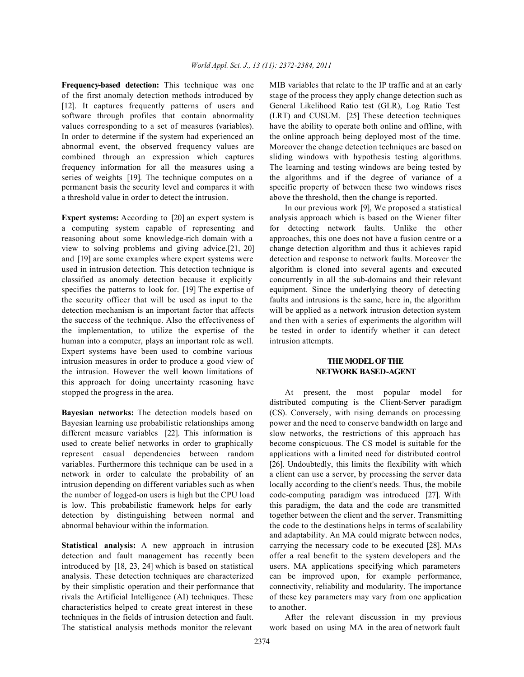**Frequency-based detection:** This technique was one of the first anomaly detection methods introduced by [12]. It captures frequently patterns of users and software through profiles that contain abnormality values corresponding to a set of measures (variables). In order to determine if the system had experienced an abnormal event, the observed frequency values are combined through an expression which captures frequency information for all the measures using a series of weights [19]. The technique computes on a permanent basis the security level and compares it with a threshold value in order to detect the intrusion.

**Expert systems:** According to [20] an expert system is a computing system capable of representing and reasoning about some knowledge-rich domain with a view to solving problems and giving advice.[21, 20] and [19] are some examples where expert systems were used in intrusion detection. This detection technique is classified as anomaly detection because it explicitly specifies the patterns to look for. [19] The expertise of the security officer that will be used as input to the detection mechanism is an important factor that affects the success of the technique. Also the effectiveness of the implementation, to utilize the expertise of the human into a computer, plays an important role as well. Expert systems have been used to combine various intrusion measures in order to produce a good view of the intrusion. However the well known limitations of this approach for doing uncertainty reasoning have stopped the progress in the area.

**Bayesian networks:** The detection models based on Bayesian learning use probabilistic relationships among different measure variables [22]. This information is used to create belief networks in order to graphically represent casual dependencies between random variables. Furthermore this technique can be used in a network in order to calculate the probability of an intrusion depending on different variables such as when the number of logged-on users is high but the CPU load is low. This probabilistic framework helps for early detection by distinguishing between normal and abnormal behaviour within the information.

**Statistical analysis:** A new approach in intrusion detection and fault management has recently been introduced by [18, 23, 24] which is based on statistical analysis. These detection techniques are characterized by their simplistic operation and their performance that rivals the Artificial Intelligence (AI) techniques. These characteristics helped to create great interest in these techniques in the fields of intrusion detection and fault. The statistical analysis methods monitor the relevant

MIB variables that relate to the IP traffic and at an early stage of the process they apply change detection such as General Likelihood Ratio test (GLR), Log Ratio Test (LRT) and CUSUM. [25] These detection techniques have the ability to operate both online and offline, with the online approach being deployed most of the time. Moreover the change detection techniques are based on sliding windows with hypothesis testing algorithms. The learning and testing windows are being tested by the algorithms and if the degree of variance of a specific property of between these two windows rises above the threshold, then the change is reported.

In our previous work [9], We proposed a statistical analysis approach which is based on the Wiener filter for detecting network faults. Unlike the other approaches, this one does not have a fusion centre or a change detection algorithm and thus it achieves rapid detection and response to network faults. Moreover the algorithm is cloned into several agents and executed concurrently in all the sub-domains and their relevant equipment. Since the underlying theory of detecting faults and intrusions is the same, here in, the algorithm will be applied as a network intrusion detection system and then with a series of experiments the algorithm will be tested in order to identify whether it can detect intrusion attempts.

### **THE MODEL OF THE NETWORK BASED-AGENT**

At present, the most popular model for distributed computing is the Client-Server paradigm (CS). Conversely, with rising demands on processing power and the need to conserve bandwidth on large and slow networks, the restrictions of this approach has become conspicuous. The CS model is suitable for the applications with a limited need for distributed control [26]. Undoubtedly, this limits the flexibility with which a client can use a server, by processing the server data locally according to the client's needs. Thus, the mobile code-computing paradigm was introduced [27]. With this paradigm, the data and the code are transmitted together between the client and the server. Transmitting the code to the destinations helps in terms of scalability and adaptability. An MA could migrate between nodes, carrying the necessary code to be executed [28]. MAs offer a real benefit to the system developers and the users. MA applications specifying which parameters can be improved upon, for example performance, connectivity, reliability and modularity. The importance of these key parameters may vary from one application to another.

After the relevant discussion in my previous work based on using MA in the area of network fault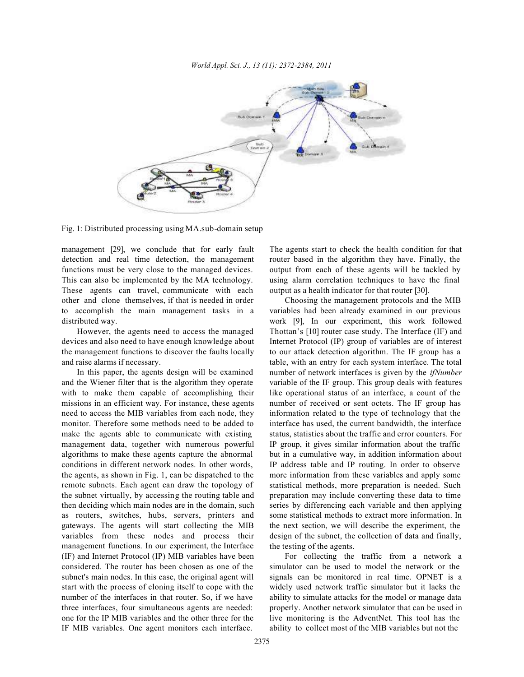

Fig. 1: Distributed processing using MA.sub-domain setup

management [29], we conclude that for early fault detection and real time detection, the management functions must be very close to the managed devices. This can also be implemented by the MA technology. These agents can travel, communicate with each other and clone themselves, if that is needed in order to accomplish the main management tasks in a distributed way.

However, the agents need to access the managed devices and also need to have enough knowledge about the management functions to discover the faults locally and raise alarms if necessary.

In this paper, the agents design will be examined and the Wiener filter that is the algorithm they operate with to make them capable of accomplishing their missions in an efficient way. For instance, these agents need to access the MIB variables from each node, they monitor. Therefore some methods need to be added to make the agents able to communicate with existing management data, together with numerous powerful algorithms to make these agents capture the abnormal conditions in different network nodes. In other words, the agents, as shown in Fig. 1, can be dispatched to the remote subnets. Each agent can draw the topology of the subnet virtually, by accessing the routing table and then deciding which main nodes are in the domain, such as routers, switches, hubs, servers, printers and gateways. The agents will start collecting the MIB variables from these nodes and process their management functions. In our experiment, the Interface (IF) and Internet Protocol (IP) MIB variables have been considered. The router has been chosen as one of the subnet's main nodes. In this case, the original agent will start with the process of cloning itself to cope with the number of the interfaces in that router. So, if we have three interfaces, four simultaneous agents are needed: one for the IP MIB variables and the other three for the IF MIB variables. One agent monitors each interface.

The agents start to check the health condition for that router based in the algorithm they have. Finally, the output from each of these agents will be tackled by using alarm correlation techniques to have the final output as a health indicator for that router [30].

Choosing the management protocols and the MIB variables had been already examined in our previous work [9], In our experiment, this work followed Thottan's [10] router case study. The Interface (IF) and Internet Protocol (IP) group of variables are of interest to our attack detection algorithm. The IF group has a table, with an entry for each system interface. The total number of network interfaces is given by the *ifNumber* variable of the IF group. This group deals with features like operational status of an interface, a count of the number of received or sent octets. The IF group has information related to the type of technology that the interface has used, the current bandwidth, the interface status, statistics about the traffic and error counters. For IP group, it gives similar information about the traffic but in a cumulative way, in addition information about IP address table and IP routing. In order to observe more information from these variables and apply some statistical methods, more preparation is needed. Such preparation may include converting these data to time series by differencing each variable and then applying some statistical methods to extract more information. In the next section, we will describe the experiment, the design of the subnet, the collection of data and finally, the testing of the agents.

For collecting the traffic from a network a simulator can be used to model the network or the signals can be monitored in real time. OPNET is a widely used network traffic simulator but it lacks the ability to simulate attacks for the model or manage data properly. Another network simulator that can be used in live monitoring is the AdventNet. This tool has the ability to collect most of the MIB variables but not the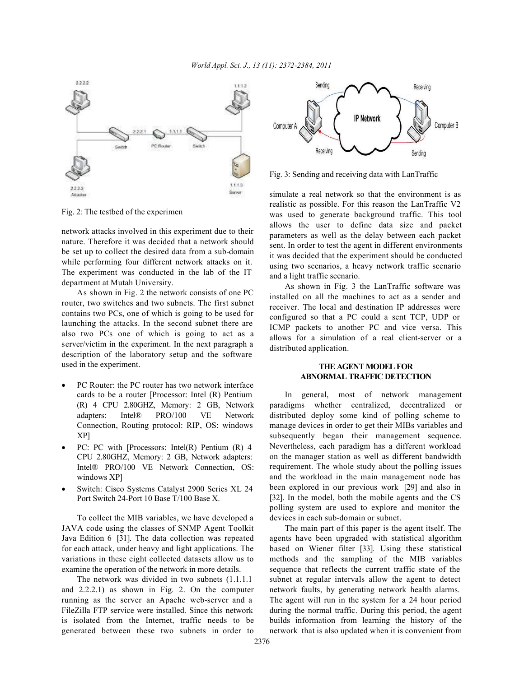

Fig. 2: The testbed of the experimen

network attacks involved in this experiment due to their nature. Therefore it was decided that a network should be set up to collect the desired data from a sub-domain while performing four different network attacks on it. The experiment was conducted in the lab of the IT department at Mutah University.

As shown in Fig. 2 the network consists of one PC router, two switches and two subnets. The first subnet contains two PCs, one of which is going to be used for launching the attacks. In the second subnet there are also two PCs one of which is going to act as a server/victim in the experiment. In the next paragraph a description of the laboratory setup and the software used in the experiment.

- PC Router: the PC router has two network interface cards to be a router [Processor: Intel (R) Pentium (R) 4 CPU 2.80GHZ, Memory: 2 GB, Network adapters: Intel® PRO/100 VE Network Connection, Routing protocol: RIP, OS: windows XP]
- PC: PC with [Processors: Intel(R) Pentium (R) 4 CPU 2.80GHZ, Memory: 2 GB, Network adapters: Intel® PRO/100 VE Network Connection, OS: windows XP]
- Switch: Cisco Systems Catalyst 2900 Series XL 24 Port Switch 24-Port 10 Base T/100 Base X.

To collect the MIB variables, we have developed a JAVA code using the classes of SNMP Agent Toolkit Java Edition 6 [31]. The data collection was repeated for each attack, under heavy and light applications. The variations in these eight collected datasets allow us to examine the operation of the network in more details.

The network was divided in two subnets (1.1.1.1 and 2.2.2.1) as shown in Fig. 2. On the computer running as the server an Apache web-server and a FileZilla FTP service were installed. Since this network is isolated from the Internet, traffic needs to be generated between these two subnets in order to



Fig. 3: Sending and receiving data with LanTraffic

simulate a real network so that the environment is as realistic as possible. For this reason the LanTraffic V2 was used to generate background traffic. This tool allows the user to define data size and packet parameters as well as the delay between each packet sent. In order to test the agent in different environments it was decided that the experiment should be conducted using two scenarios, a heavy network traffic scenario and a light traffic scenario.

As shown in Fig. 3 the LanTraffic software was installed on all the machines to act as a sender and receiver. The local and destination IP addresses were configured so that a PC could a sent TCP, UDP or ICMP packets to another PC and vice versa. This allows for a simulation of a real client-server or a distributed application.

# **THE AGENT MODEL FOR ABNORMAL TRAFFIC DETECTION**

In general, most of network management paradigms whether centralized, decentralized or distributed deploy some kind of polling scheme to manage devices in order to get their MIBs variables and subsequently began their management sequence. Nevertheless, each paradigm has a different workload on the manager station as well as different bandwidth requirement. The whole study about the polling issues and the workload in the main management node has been explored in our previous work [29] and also in [32]. In the model, both the mobile agents and the CS polling system are used to explore and monitor the devices in each sub-domain or subnet.

The main part of this paper is the agent itself. The agents have been upgraded with statistical algorithm based on Wiener filter [33]. Using these statistical methods and the sampling of the MIB variables sequence that reflects the current traffic state of the subnet at regular intervals allow the agent to detect network faults, by generating network health alarms. The agent will run in the system for a 24 hour period during the normal traffic. During this period, the agent builds information from learning the history of the network that is also updated when it is convenient from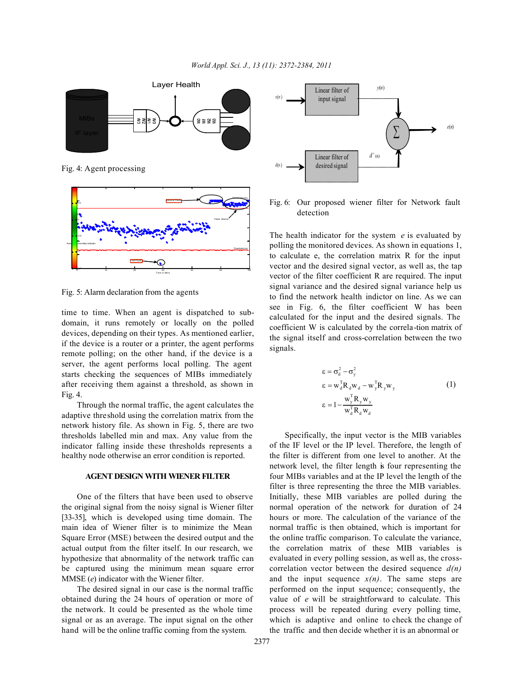

Fig. 4: Agent processing



Fig. 5: Alarm declaration from the agents

time to time. When an agent is dispatched to subdomain, it runs remotely or locally on the polled devices, depending on their types. As mentioned earlier, if the device is a router or a printer, the agent performs remote polling; on the other hand, if the device is a server, the agent performs local polling. The agent starts checking the sequences of MIBs immediately after receiving them against a threshold, as shown in Fig. 4.

Through the normal traffic, the agent calculates the adaptive threshold using the correlation matrix from the network history file. As shown in Fig. 5, there are two thresholds labelled min and max. Any value from the indicator falling inside these thresholds represents a healthy node otherwise an error condition is reported.

#### **AGENT DESIGN WITH WIENER FILTER**

One of the filters that have been used to observe the original signal from the noisy signal is Wiener filter [33-35], which is developed using time domain. The main idea of Wiener filter is to minimize the Mean Square Error (MSE) between the desired output and the actual output from the filter itself. In our research, we hypothesize that abnormality of the network traffic can be captured using the minimum mean square error MMSE (*e*) indicator with the Wiener filter.

The desired signal in our case is the normal traffic obtained during the 24 hours of operation or more of the network. It could be presented as the whole time signal or as an average. The input signal on the other hand will be the online traffic coming from the system.



Fig. 6: Our proposed wiener filter for Network fault detection

The health indicator for the system *e* is evaluated by polling the monitored devices. As shown in equations 1, to calculate e, the correlation matrix R for the input vector and the desired signal vector, as well as, the tap vector of the filter coefficient R are required. The input signal variance and the desired signal variance help us to find the network health indictor on line. As we can see in Fig. 6, the filter coefficient W has been calculated for the input and the desired signals. The coefficient W is calculated by the correla-tion matrix of the signal itself and cross-correlation between the two signals.

$$
\varepsilon = \sigma_a^2 - \sigma_y^2
$$
  
\n
$$
\varepsilon = w_d^T R_d w_d - w_y^T R_y w_y
$$
  
\n
$$
\varepsilon = 1 - \frac{w_y^T R_y w_y}{w_d^T R_d w_d}
$$
\n(1)

Specifically, the input vector is the MIB variables of the IF level or the IP level. Therefore, the length of the filter is different from one level to another. At the network level, the filter length is four representing the four MIBs variables and at the IP level the length of the filter is three representing the three the MIB variables. Initially, these MIB variables are polled during the normal operation of the network for duration of 24 hours or more. The calculation of the variance of the normal traffic is then obtained, which is important for the online traffic comparison. To calculate the variance, the correlation matrix of these MIB variables is evaluated in every polling session, as well as, the crosscorrelation vector between the desired sequence  $d(n)$ and the input sequence  $x(n)$ . The same steps are performed on the input sequence; consequently, the value of *e* will be straightforward to calculate. This process will be repeated during every polling time, which is adaptive and online to check the change of the traffic and then decide whether it is an abnormal or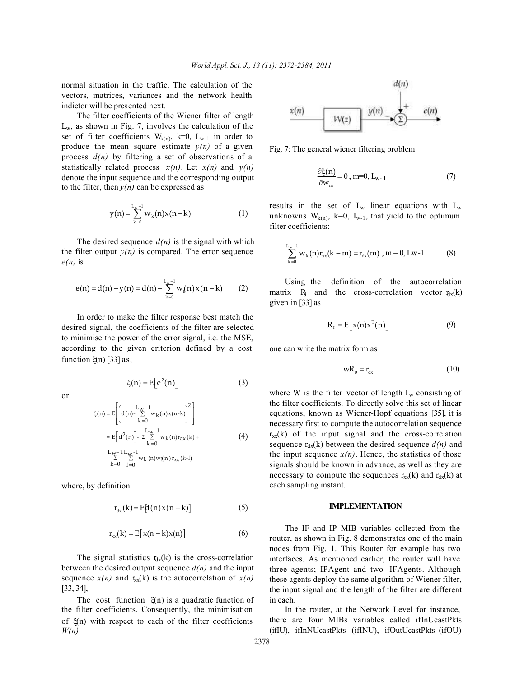normal situation in the traffic. The calculation of the vectors, matrices, variances and the network health indictor will be presented next.

The filter coefficients of the Wiener filter of length  $L<sub>w</sub>$ , as shown in Fig. 7, involves the calculation of the set of filter coefficients  $W_{k(n)}$ , k=0, L<sub>w-1</sub> in order to produce the mean square estimate  $y(n)$  of a given process *d(n)* by filtering a set of observations of a statistically related process  $x(n)$ . Let  $x(n)$  and  $y(n)$ denote the input sequence and the corresponding output to the filter, then  $y(n)$  can be expressed as

$$
y(n) = \sum_{k=0}^{L_w - 1} w_k(n) x(n-k)
$$
 (1)

The desired sequence  $d(n)$  is the signal with which the filter output  $y(n)$  is compared. The error sequence *e(n)* is

$$
e(n) = d(n) - y(n) = d(n) - \sum_{k=0}^{L_w - 1} w_k(n) x(n-k)
$$
 (2)

In order to make the filter response best match the desired signal, the coefficients of the filter are selected to minimise the power of the error signal, i.e. the MSE, according to the given criterion defined by a cost function ξ(n) [33] as;

or

$$
\xi(n) = E \left[ \left( d(n) - \sum_{k=0}^{L_{\mathbf{W}} - 1} w_k(n) x(n-k) \right)^2 \right]
$$
  
= 
$$
E \left[ d^2(n) \right] - 2 \sum_{k=0}^{L_{\mathbf{W}} - 1} w_k(n) r_{dx}(k) +
$$
 (4)

 $\xi(n) = E[e^2(n)]$  (3)

L<sub>W</sub><sup>-1</sup>L<sub>W</sub><sup>-1</sup>  

$$
k=0
$$
 1=0  $l=0$  w<sub>k</sub> (n)w(n) r<sub>xx</sub> (k-l)

where, by definition

$$
r_{dx}(k) = E\left[1(n)x(n-k)\right]
$$
 (5)

$$
\mathbf{r}_{xx}(k) = E\big[\mathbf{x}(n-k)\mathbf{x}(n)\big] \tag{6}
$$

The signal statistics  $r_{dx}(k)$  is the cross-correlation between the desired output sequence *d(n)* and the input sequence  $x(n)$  and  $r_{xx}(k)$  is the autocorrelation of  $x(n)$ [33, 34],

The cost function  $\xi(n)$  is a quadratic function of the filter coefficients. Consequently, the minimisation of ξ(n) with respect to each of the filter coefficients *W(n)*



Fig. 7: The general wiener filtering problem

$$
\frac{\partial \xi(n)}{\partial w_m} = 0, m=0, L_{w-1}
$$
 (7)

results in the set of  $L_w$  linear equations with  $L_w$ unknowns  $W_{k(n)}$ , k=0,  $I_{w-1}$ , that yield to the optimum filter coefficients:

$$
\sum_{k=0}^{L_w-1} w_k(n) r_{xx}(k-m) = r_{dx}(m) , m = 0, Lw-1
$$
 (8)

Using the definition of the autocorrelation matrix R<sub>0</sub> and the cross-correlation vector  $r_{\rm{dx}}(k)$ given in [33] as

$$
R_0 = E\big[ x(n)x^{T}(n) \big]
$$
 (9)

one can write the matrix form as

$$
wR_0 = r_{dx} \tag{10}
$$

where W is the filter vector of length  $L<sub>w</sub>$  consisting of the filter coefficients. To directly solve this set of linear equations, known as Wiener-Hopf equations [35], it is necessary first to compute the autocorrelation sequence  $r_{xx}(k)$  of the input signal and the cross-correlation sequence  $r_{dx}(k)$  between the desired sequence  $d(n)$  and the input sequence  $x(n)$ . Hence, the statistics of those signals should be known in advance, as well as they are necessary to compute the sequences  $r_{xx}(k)$  and  $r_{dx}(k)$  at each sampling instant.

#### **IMPLEMENTATION**

The IF and IP MIB variables collected from the router, as shown in Fig. 8 demonstrates one of the main nodes from Fig. 1. This Router for example has two interfaces. As mentioned earlier, the router will have three agents; IPAgent and two IFAgents. Although these agents deploy the same algorithm of Wiener filter, the input signal and the length of the filter are different in each.

In the router, at the Network Level for instance, there are four MIBs variables called ifInUcastPkts (ifIU), ifInNUcastPkts (ifINU), ifOutUcastPkts (ifOU)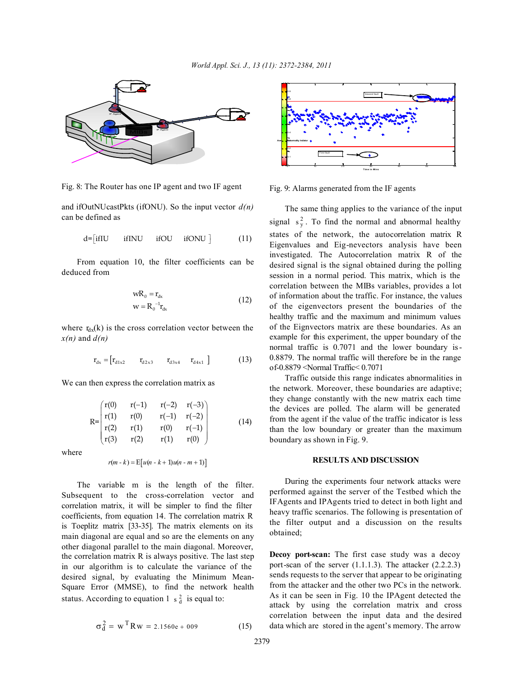

Fig. 8: The Router has one IP agent and two IF agent

and ifOutNUcastPkts (ifONU). So the input vector *d(n)* can be defined as

$$
d = [ifIU \tifINU \tif OU \tifONU ] \t(11)
$$

From equation 10, the filter coefficients can be deduced from

$$
wR_0 = r_{dx}
$$
  
\n
$$
w = R_0^{-1}r_{dx}
$$
\n(12)

where  $r_{dx}(k)$  is the cross correlation vector between the  $x(n)$  and  $d(n)$ 

$$
\mathbf{r}_{\mathrm{dx}} = \begin{bmatrix} \mathbf{r}_{\mathrm{d1x2}} & \mathbf{r}_{\mathrm{d2x3}} & \mathbf{r}_{\mathrm{d3x4}} & \mathbf{r}_{\mathrm{d4x1}} \end{bmatrix} \tag{13}
$$

We can then express the correlation matrix as

$$
R = \begin{pmatrix} r(0) & r(-1) & r(-2) & r(-3) \\ r(1) & r(0) & r(-1) & r(-2) \\ r(2) & r(1) & r(0) & r(-1) \\ r(3) & r(2) & r(1) & r(0) \end{pmatrix}
$$
(14)

where

$$
r(m-k) = \mathbb{E}[u(n-k+1)u(n-m+1)]
$$

The variable m is the length of the filter. Subsequent to the cross-correlation vector and correlation matrix, it will be simpler to find the filter coefficients, from equation 14. The correlation matrix R is Toeplitz matrix [33-35]. The matrix elements on its main diagonal are equal and so are the elements on any other diagonal parallel to the main diagonal. Moreover, the correlation matrix R is always positive. The last step in our algorithm is to calculate the variance of the desired signal, by evaluating the Minimum Mean-Square Error (MMSE), to find the network health status. According to equation  $1 \, s_d^2$  is equal to:

$$
\sigma_d^2 = w^T R w = 2.1560e + 009 \tag{15}
$$



Fig. 9: Alarms generated from the IF agents

The same thing applies to the variance of the input signal  $s_y^2$ . To find the normal and abnormal healthy states of the network, the autocorrelation matrix R Eigenvalues and Eig-nevectors analysis have been investigated. The Autocorrelation matrix R of the desired signal is the signal obtained during the polling session in a normal period. This matrix, which is the correlation between the MIBs variables, provides a lot of information about the traffic. For instance, the values of the eigenvectors present the boundaries of the healthy traffic and the maximum and minimum values of the Eignvectors matrix are these boundaries. As an example for this experiment, the upper boundary of the normal traffic is 0.7071 and the lower boundary is - 0.8879. The normal traffic will therefore be in the range of-0.8879 <Normal Traffic< 0.7071

Traffic outside this range indicates abnormalities in the network. Moreover, these boundaries are adaptive; they change constantly with the new matrix each time the devices are polled. The alarm will be generated from the agent if the value of the traffic indicator is less than the low boundary or greater than the maximum boundary as shown in Fig. 9.

#### **RESULTS AND DISCUSSION**

During the experiments four network attacks were performed against the server of the Testbed which the IFAgents and IPAgents tried to detect in both light and heavy traffic scenarios. The following is presentation of the filter output and a discussion on the results obtained;

**Decoy port-scan:** The first case study was a decoy port-scan of the server (1.1.1.3). The attacker (2.2.2.3) sends requests to the server that appear to be originating from the attacker and the other two PCs in the network. As it can be seen in Fig. 10 the IPAgent detected the attack by using the correlation matrix and cross correlation between the input data and the desired data which are stored in the agent's memory. The arrow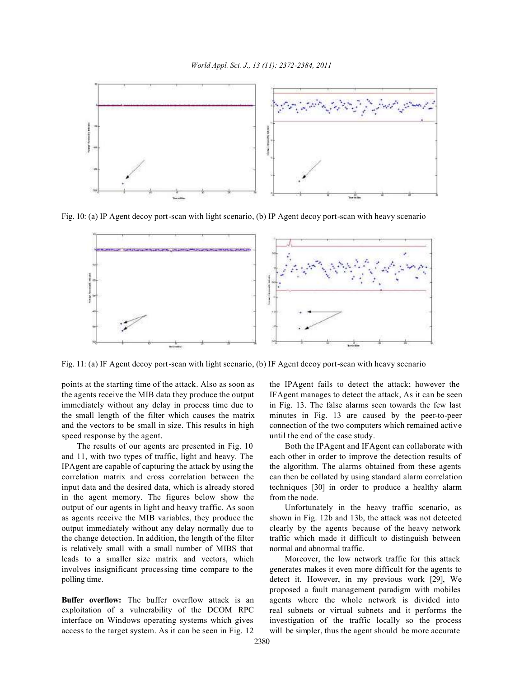

Fig. 10: (a) IP Agent decoy port-scan with light scenario, (b) IP Agent decoy port-scan with heavy scenario



Fig. 11: (a) IF Agent decoy port-scan with light scenario, (b) IF Agent decoy port-scan with heavy scenario

points at the starting time of the attack. Also as soon as the agents receive the MIB data they produce the output immediately without any delay in process time due to the small length of the filter which causes the matrix and the vectors to be small in size. This results in high speed response by the agent.

The results of our agents are presented in Fig. 10 and 11, with two types of traffic, light and heavy. The IPAgent are capable of capturing the attack by using the correlation matrix and cross correlation between the input data and the desired data, which is already stored in the agent memory. The figures below show the output of our agents in light and heavy traffic. As soon as agents receive the MIB variables, they produce the output immediately without any delay normally due to the change detection. In addition, the length of the filter is relatively small with a small number of MIBS that leads to a smaller size matrix and vectors, which involves insignificant processing time compare to the polling time.

**Buffer overflow:** The buffer overflow attack is an exploitation of a vulnerability of the DCOM RPC interface on Windows operating systems which gives access to the target system. As it can be seen in Fig. 12 the IPAgent fails to detect the attack; however the IFAgent manages to detect the attack, As it can be seen in Fig. 13. The false alarms seen towards the few last minutes in Fig. 13 are caused by the peer-to-peer connection of the two computers which remained active until the end of the case study.

Both the IPAgent and IFAgent can collaborate with each other in order to improve the detection results of the algorithm. The alarms obtained from these agents can then be collated by using standard alarm correlation techniques [30] in order to produce a healthy alarm from the node.

Unfortunately in the heavy traffic scenario, as shown in Fig. 12b and 13b, the attack was not detected clearly by the agents because of the heavy network traffic which made it difficult to distinguish between normal and abnormal traffic.

Moreover, the low network traffic for this attack generates makes it even more difficult for the agents to detect it. However, in my previous work [29], We proposed a fault management paradigm with mobiles agents where the whole network is divided into real subnets or virtual subnets and it performs the investigation of the traffic locally so the process will be simpler, thus the agent should be more accurate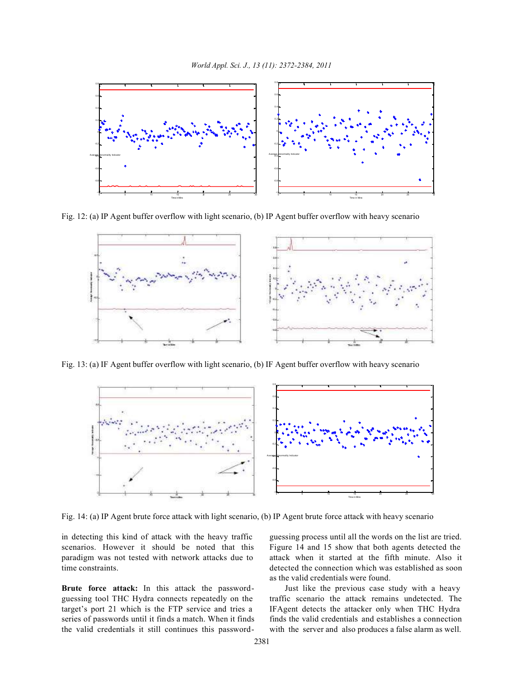

Fig. 12: (a) IP Agent buffer overflow with light scenario, (b) IP Agent buffer overflow with heavy scenario



Fig. 13: (a) IF Agent buffer overflow with light scenario, (b) IF Agent buffer overflow with heavy scenario



Fig. 14: (a) IP Agent brute force attack with light scenario, (b) IP Agent brute force attack with heavy scenario

in detecting this kind of attack with the heavy traffic scenarios. However it should be noted that this paradigm was not tested with network attacks due to time constraints.

**Brute force attack:** In this attack the passwordguessing tool THC Hydra connects repeatedly on the target's port 21 which is the FTP service and tries a series of passwords until it finds a match. When it finds the valid credentials it still continues this passwordguessing process until all the words on the list are tried. Figure 14 and 15 show that both agents detected the attack when it started at the fifth minute. Also it detected the connection which was established as soon as the valid credentials were found.

Just like the previous case study with a heavy traffic scenario the attack remains undetected. The IFAgent detects the attacker only when THC Hydra finds the valid credentials and establishes a connection with the server and also produces a false alarm as well.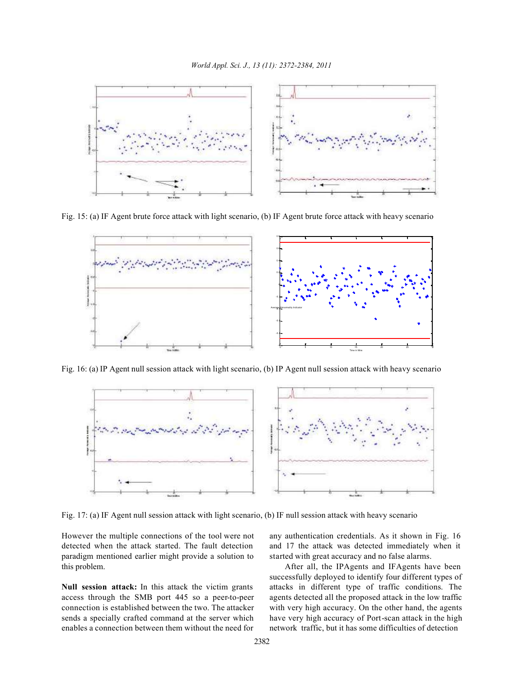

Fig. 15: (a) IF Agent brute force attack with light scenario, (b) IF Agent brute force attack with heavy scenario



Fig. 16: (a) IP Agent null session attack with light scenario, (b) IP Agent null session attack with heavy scenario



Fig. 17: (a) IF Agent null session attack with light scenario, (b) IF null session attack with heavy scenario

However the multiple connections of the tool were not detected when the attack started. The fault detection paradigm mentioned earlier might provide a solution to this problem.

**Null session attack:** In this attack the victim grants access through the SMB port 445 so a peer-to-peer connection is established between the two. The attacker sends a specially crafted command at the server which enables a connection between them without the need for any authentication credentials. As it shown in Fig. 16 and 17 the attack was detected immediately when it started with great accuracy and no false alarms.

After all, the IPAgents and IFAgents have been successfully deployed to identify four different types of attacks in different type of traffic conditions. The agents detected all the proposed attack in the low traffic with very high accuracy. On the other hand, the agents have very high accuracy of Port-scan attack in the high network traffic, but it has some difficulties of detection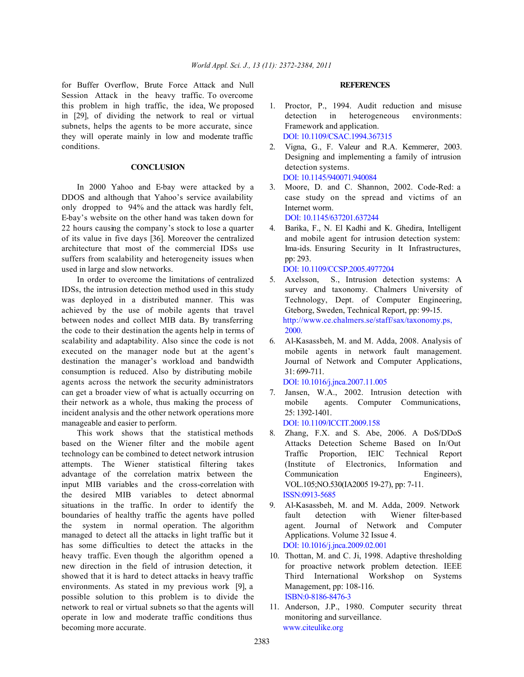for Buffer Overflow, Brute Force Attack and Null Session Attack in the heavy traffic. To overcome this problem in high traffic, the idea, We proposed in [29], of dividing the network to real or virtual subnets, helps the agents to be more accurate, since they will operate mainly in low and moderate traffic conditions.

### **CONCLUSION**

In 2000 Yahoo and E-bay were attacked by a DDOS and although that Yahoo's service availability only dropped to 94% and the attack was hardly felt, E-bay's website on the other hand was taken down for 22 hours causing the company's stock to lose a quarter of its value in five days [36]. Moreover the centralized architecture that most of the commercial IDSs use suffers from scalability and heterogeneity issues when used in large and slow networks.

In order to overcome the limitations of centralized IDSs, the intrusion detection method used in this study was deployed in a distributed manner. This was achieved by the use of mobile agents that travel between nodes and collect MIB data. By transferring the code to their destination the agents help in terms of scalability and adaptability. Also since the code is not executed on the manager node but at the agent's destination the manager's workload and bandwidth consumption is reduced. Also by distributing mobile agents across the network the security administrators can get a broader view of what is actually occurring on their network as a whole, thus making the process of incident analysis and the other network operations more manageable and easier to perform.

This work shows that the statistical methods based on the Wiener filter and the mobile agent technology can be combined to detect network intrusion attempts. The Wiener statistical filtering takes advantage of the correlation matrix between the input MIB variables and the cross-correlation with the desired MIB variables to detect abnormal situations in the traffic. In order to identify the boundaries of healthy traffic the agents have polled the system in normal operation. The algorithm managed to detect all the attacks in light traffic but it has some difficulties to detect the attacks in the heavy traffic. Even though the algorithm opened a new direction in the field of intrusion detection, it showed that it is hard to detect attacks in heavy traffic environments. As stated in my previous work [9], a possible solution to this problem is to divide the network to real or virtual subnets so that the agents will operate in low and moderate traffic conditions thus becoming more accurate.

#### **REFERENCES**

- 1. Proctor, P., 1994. Audit reduction and misuse detection in heterogeneous environments: Framework and application. DOI: 10.1109/CSAC.1994.367315
- 2. Vigna, G., F. Valeur and R.A. Kemmerer, 2003. Designing and implementing a family of intrusion detection systems.

DOI: 10.1145/940071.940084

- 3. Moore, D. and C. Shannon, 2002. Code-Red: a case study on the spread and victims of an Internet worm. DOI: 10.1145/637201.637244
- 4. Barika, F., N. El Kadhi and K. Ghedira, Intelligent and mobile agent for intrusion detection system: Ima-ids. Ensuring Security in It Infrastructures, pp: 293.

DOI: 10.1109/CCSP.2005.4977204

- 5. Axelsson, S., Intrusion detection systems: A survey and taxonomy. Chalmers University of Technology, Dept. of Computer Engineering, Gteborg, Sweden, Technical Report, pp: 99-15. http://www.ce.chalmers.se/staff/sax/taxonomy.ps, 2000.
- 6. Al-Kasassbeh, M. and M. Adda, 2008. Analysis of mobile agents in network fault management. Journal of Network and Computer Applications, 31: 699-711.

DOI: 10.1016/j.jnca.2007.11.005

- 7. Jansen, W.A., 2002. Intrusion detection with mobile agents. Computer Communications, 25: 1392-1401. DOI: 10.1109/ICCIT.2009.158
- 8. Zhang, F.X. and S. Abe, 2006. A DoS/DDoS Attacks Detection Scheme Based on In/Out Traffic Proportion, IEIC Technical Report (Institute of Electronics, Information and Communication Engineers), VOL.105;NO.530(IA2005 19-27), pp: 7-11. ISSN:0913-5685
- 9. Al-Kasassbeh, M. and M. Adda, 2009. Network fault detection with Wiener filter-based agent. Journal of Network and Computer Applications. Volume 32 Issue 4. DOI: 10.1016/j.jnca.2009.02.001
- 10. Thottan, M. and C. Ji, 1998. Adaptive thresholding for proactive network problem detection. IEEE Third International Workshop on Systems Management, pp: 108-116. ISBN:0-8186-8476-3
- 11. Anderson, J.P., 1980. Computer security threat monitoring and surveillance. www.citeulike.org